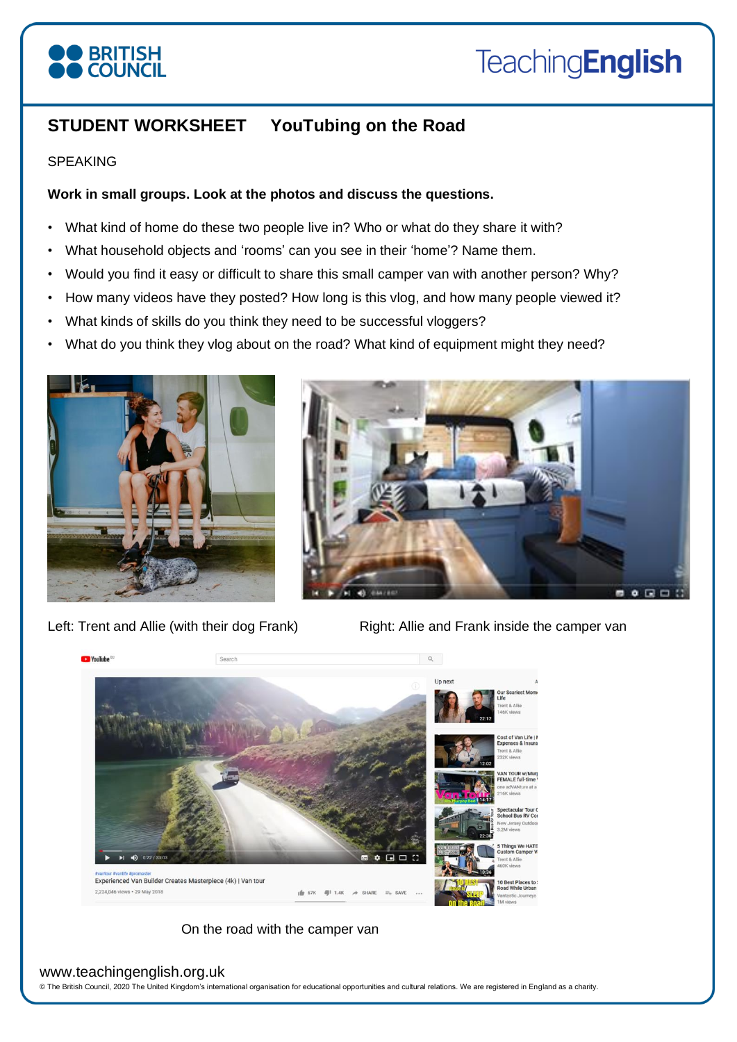# **STUDENT WORKSHEET YouTubing on the Road**

#### SPEAKING

# **Work in small groups. Look at the photos and discuss the questions.**

- What kind of home do these two people live in? Who or what do they share it with?
- What household objects and 'rooms' can you see in their 'home'? Name them.
- Would you find it easy or difficult to share this small camper van with another person? Why?
- How many videos have they posted? How long is this vlog, and how many people viewed it?
- What kinds of skills do you think they need to be successful vloggers?
- What do you think they vlog about on the road? What kind of equipment might they need?



Left: Trent and Allie (with their dog Frank) Right: Allie and Frank inside the camper van



On the road with the camper van

#### www.teachingenglish.org.uk

© The British Council, 2020 The United Kingdom's international organisation for educational opportunities and cultural relations. We are registered in England as a charity.



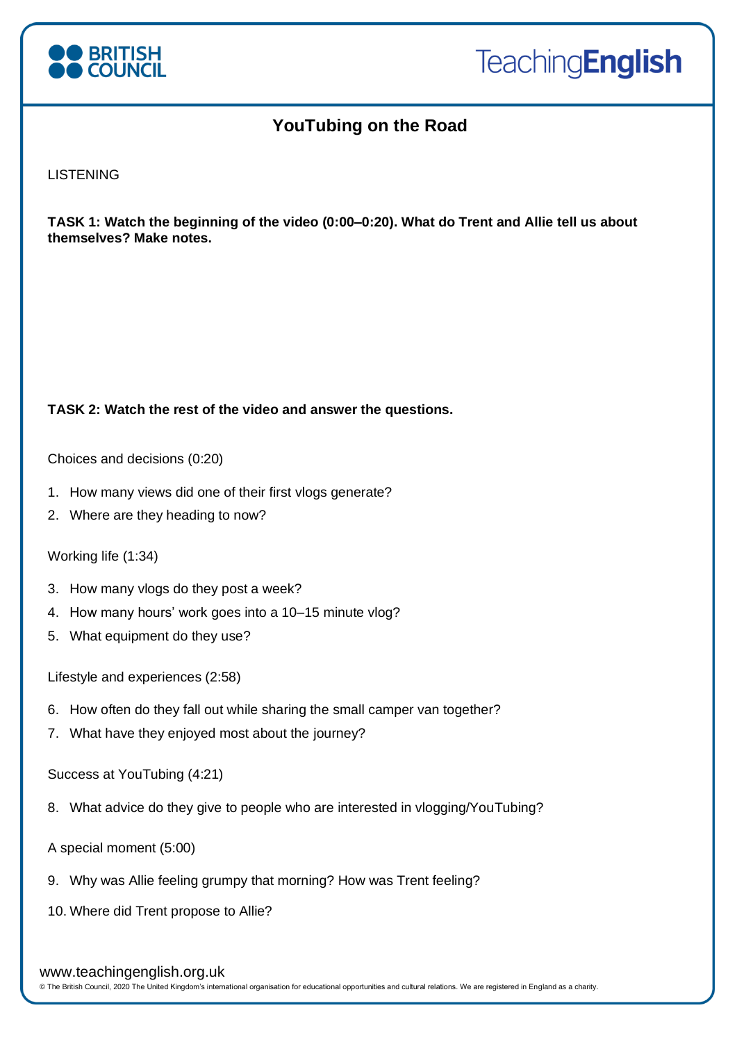

# **YouTubing on the Road**

**LISTENING** 

**TASK 1: Watch the beginning of the video (0:00–0:20). What do Trent and Allie tell us about themselves? Make notes.** 

# **TASK 2: Watch the rest of the video and answer the questions.**

Choices and decisions (0:20)

- 1. How many views did one of their first vlogs generate?
- 2. Where are they heading to now?

Working life (1:34)

- 3. How many vlogs do they post a week?
- 4. How many hours' work goes into a 10–15 minute vlog?
- 5. What equipment do they use?

Lifestyle and experiences (2:58)

- 6. How often do they fall out while sharing the small camper van together?
- 7. What have they enjoyed most about the journey?

Success at YouTubing (4:21)

- 8. What advice do they give to people who are interested in vlogging/YouTubing?
- A special moment (5:00)
- 9. Why was Allie feeling grumpy that morning? How was Trent feeling?

10. Where did Trent propose to Allie?

#### www.teachingenglish.org.uk

© The British Council, 2020 The United Kingdom's international organisation for educational opportunities and cultural relations. We are registered in England as a charity.